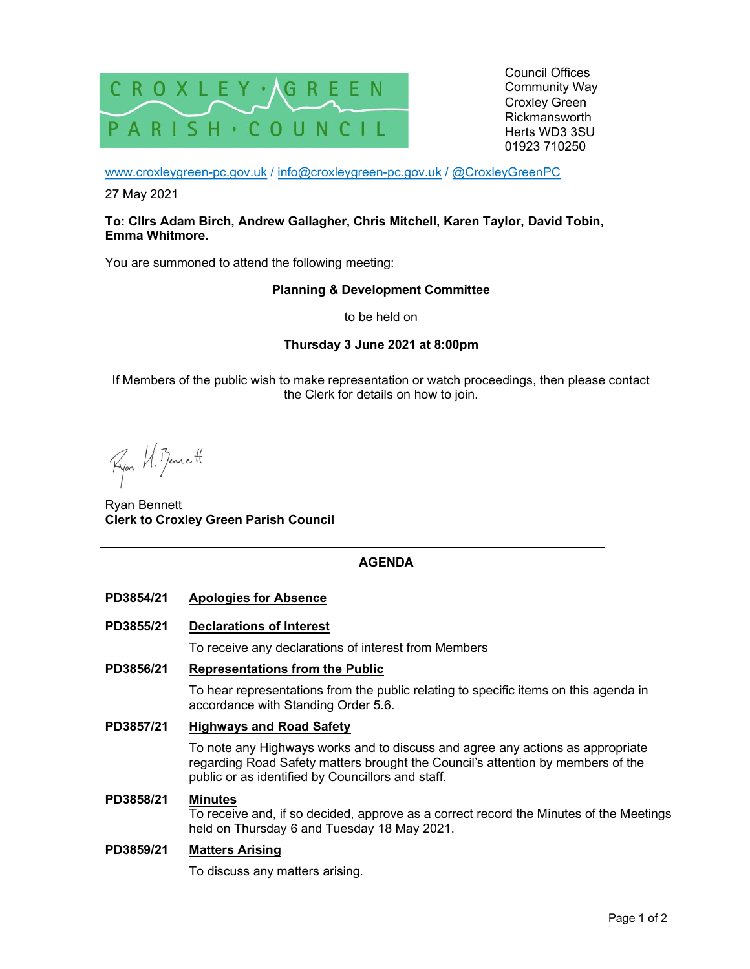

Council Offices Community Way Croxley Green Rickmansworth Herts WD3 3SU 01923 710250

www.croxleygreen-pc.gov.uk / info@croxleygreen-pc.gov.uk / @CroxleyGreenPC

27 May 2021

### To: Cllrs Adam Birch, Andrew Gallagher, Chris Mitchell, Karen Taylor, David Tobin, Emma Whitmore.

You are summoned to attend the following meeting:

## Planning & Development Committee

to be held on

# Thursday 3 June 2021 at 8:00pm

If Members of the public wish to make representation or watch proceedings, then please contact the Clerk for details on how to join.

Ryon VI. Bennett

Ryan Bennett Clerk to Croxley Green Parish Council

## AGENDA

## PD3854/21 Apologies for Absence

PD3855/21 Declarations of Interest

To receive any declarations of interest from Members

## PD3856/21 Representations from the Public

To hear representations from the public relating to specific items on this agenda in accordance with Standing Order 5.6.

PD3857/21 Highways and Road Safety

To note any Highways works and to discuss and agree any actions as appropriate regarding Road Safety matters brought the Council's attention by members of the public or as identified by Councillors and staff.

#### PD3858/21 Minutes

To receive and, if so decided, approve as a correct record the Minutes of the Meetings held on Thursday 6 and Tuesday 18 May 2021.

#### PD3859/21 Matters Arising

To discuss any matters arising.